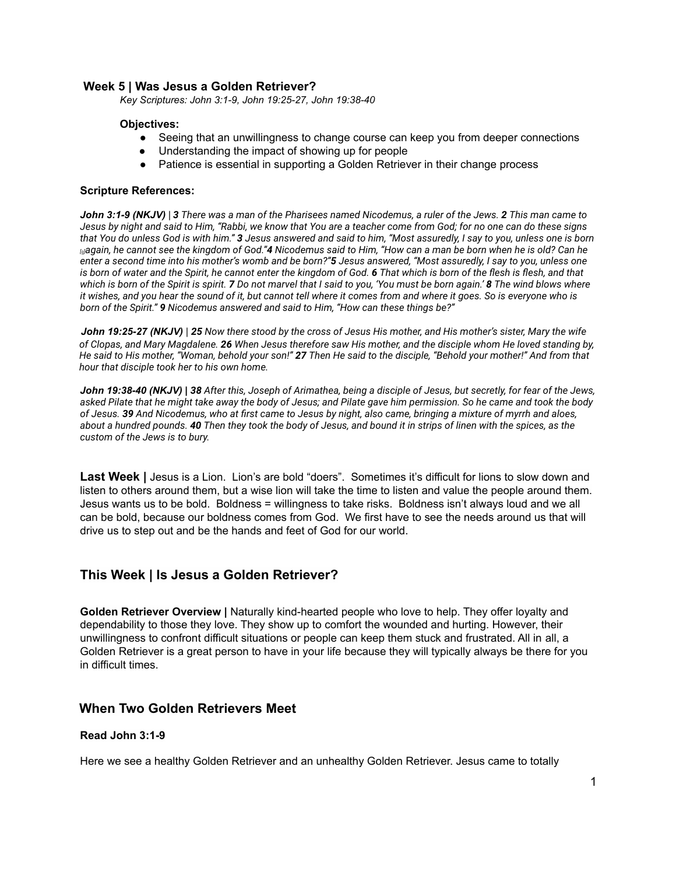# **Week 5 | Was Jesus a Golden Retriever?**

*Key Scriptures: John 3:1-9, John 19:25-27, John 19:38-40*

## **Objectives:**

- Seeing that an unwillingness to change course can keep you from deeper connections
- Understanding the impact of showing up for people
- Patience is essential in supporting a Golden Retriever in their change process

## **Scripture References:**

*John 3:1-9 (NKJV) | 3 There was a man of the Pharisees named Nicodemus, a ruler of the Jews. 2 This man came to Jesus by night and said to Him, "Rabbi, we know that You are a teacher come from God; for no one can do these signs that You do unless God is with him." 3 Jesus answered and said to him, "Most assuredly, I say to you, unless one is born [[a](https://www.biblegateway.com/passage/?search=John+3&version=NLT;NKJV;ESV#fen-NKJV-26124a)]again, he cannot see the kingdom of God."4 Nicodemus said to Him, "How can a man be born when he is old? Can he enter a second time into his mother's womb and be born?"5 Jesus answered, "Most assuredly, I say to you, unless one is born of water and the Spirit, he cannot enter the kingdom of God. 6 That which is born of the flesh is flesh, and that which is born of the Spirit is spirit. 7 Do not marvel that I said to you, 'You must be born again.' 8 The wind blows where it wishes, and you hear the sound of it, but cannot tell where it comes from and where it goes. So is everyone who is born of the Spirit." 9 Nicodemus answered and said to Him, "How can these things be?"*

*John 19:25-27 (NKJV) | 25 Now there stood by the cross of Jesus His mother, and His mother's sister, Mary the wife of Clopas, and Mary Magdalene. 26 When Jesus therefore saw His mother, and the disciple whom He loved standing by, He said to His mother, "Woman, behold your son!" 27 Then He said to the disciple, "Behold your mother!" And from that hour that disciple took her to his own home.*

*John 19:38-40 (NKJV) | 38 After this, Joseph of Arimathea, being a disciple of Jesus, but secretly, for fear of the Jews, asked Pilate that he might take away the body of Jesus; and Pilate gave him permission. So he came and took the body of Jesus. 39 And Nicodemus, who at first came to Jesus by night, also came, bringing a mixture of myrrh and aloes, about a hundred pounds. 40 Then they took the body of Jesus, and bound it in strips of linen with the spices, as the custom of the Jews is to bury.*

**Last Week |** Jesus is a Lion. Lion's are bold "doers". Sometimes it's difficult for lions to slow down and listen to others around them, but a wise lion will take the time to listen and value the people around them. Jesus wants us to be bold. Boldness = willingness to take risks. Boldness isn't always loud and we all can be bold, because our boldness comes from God. We first have to see the needs around us that will drive us to step out and be the hands and feet of God for our world.

# **This Week | Is Jesus a Golden Retriever?**

**Golden Retriever Overview |** Naturally kind-hearted people who love to help. They offer loyalty and dependability to those they love. They show up to comfort the wounded and hurting. However, their unwillingness to confront difficult situations or people can keep them stuck and frustrated. All in all, a Golden Retriever is a great person to have in your life because they will typically always be there for you in difficult times.

# **When Two Golden Retrievers Meet**

# **Read John 3:1-9**

Here we see a healthy Golden Retriever and an unhealthy Golden Retriever. Jesus came to totally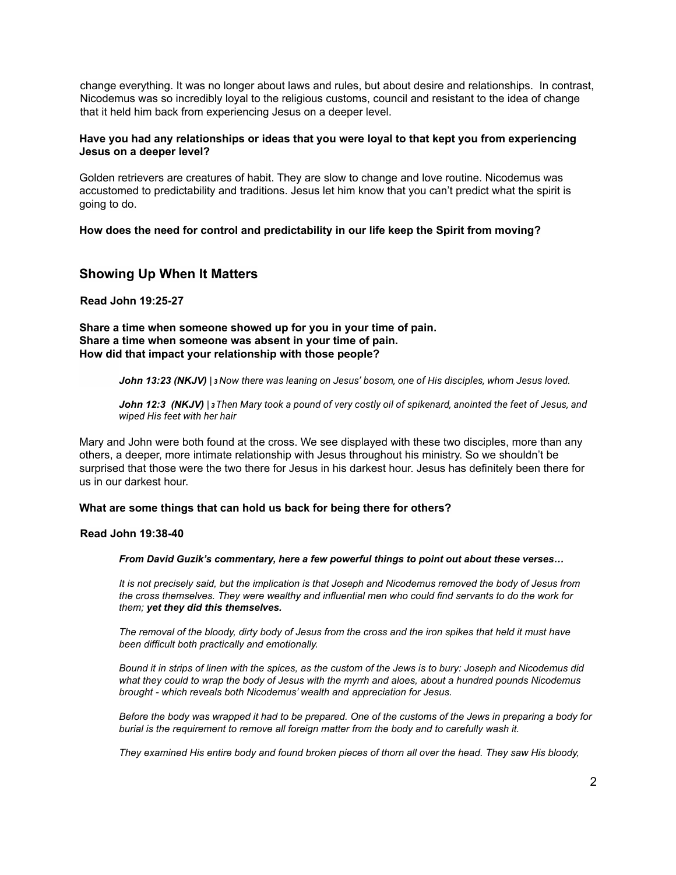change everything. It was no longer about laws and rules, but about desire and relationships. In contrast, Nicodemus was so incredibly loyal to the religious customs, council and resistant to the idea of change that it held him back from experiencing Jesus on a deeper level.

# **Have you had any relationships or ideas that you were loyal to that kept you from experiencing Jesus on a deeper level?**

Golden retrievers are creatures of habit. They are slow to change and love routine. Nicodemus was accustomed to predictability and traditions. Jesus let him know that you can't predict what the spirit is going to do.

**How does the need for control and predictability in our life keep the Spirit from moving?**

# **Showing Up When It Matters**

**Read John 19:25-27**

# **Share a time when someone showed up for you in your time of pain. Share a time when someone was absent in your time of pain. How did that impact your relationship with those people?**

*John 13:23 (NKJV) | <sup>3</sup>Now there was leaning on Jesus' bosom, one of His disciples, whom Jesus loved.*

*John 12:3 (NKJV) | <sup>3</sup>Then Mary took a pound of very costly oil of spikenard, anointed the feet of Jesus, and wiped His feet with her hair*

Mary and John were both found at the cross. We see displayed with these two disciples, more than any others, a deeper, more intimate relationship with Jesus throughout his ministry. So we shouldn't be surprised that those were the two there for Jesus in his darkest hour. Jesus has definitely been there for us in our darkest hour.

# **What are some things that can hold us back for being there for others?**

# **Read John 19:38-40**

#### *From David Guzik's commentary, here a few powerful things to point out about these verses…*

*It is not precisely said, but the implication is that Joseph and Nicodemus removed the body of Jesus from the cross themselves. They were wealthy and influential men who could find servants to do the work for them; yet they did this themselves.*

*The removal of the bloody, dirty body of Jesus from the cross and the iron spikes that held it must have been difficult both practically and emotionally.*

*Bound it in strips of linen with the spices, as the custom of the Jews is to bury: Joseph and Nicodemus did what they could to wrap the body of Jesus with the myrrh and aloes, about a hundred pounds Nicodemus brought - which reveals both Nicodemus' wealth and appreciation for Jesus.*

*Before the body was wrapped it had to be prepared. One of the customs of the Jews in preparing a body for burial is the requirement to remove all foreign matter from the body and to carefully wash it.*

*They examined His entire body and found broken pieces of thorn all over the head. They saw His bloody,*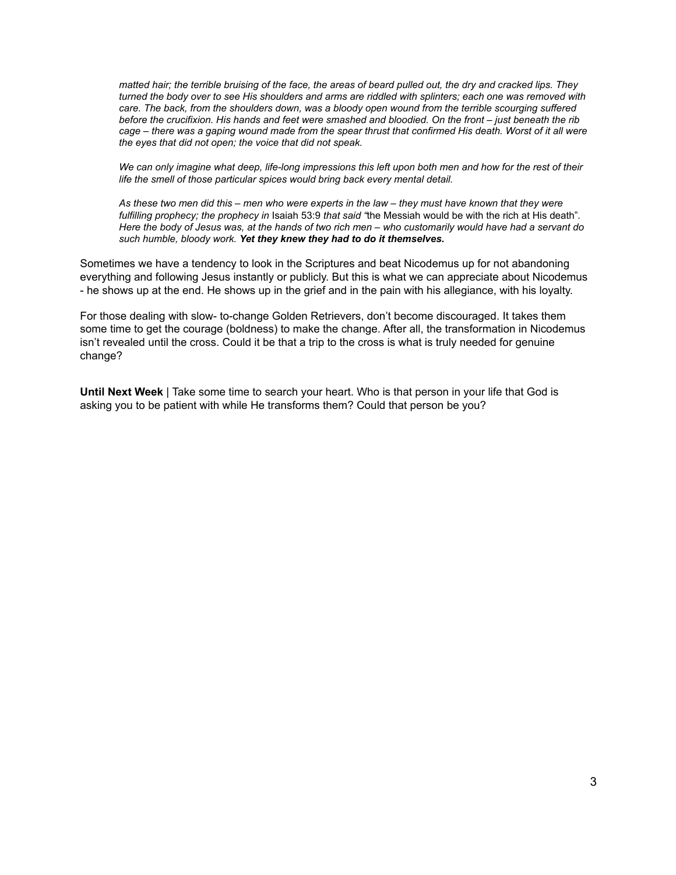*matted hair; the terrible bruising of the face, the areas of beard pulled out, the dry and cracked lips. They turned the body over to see His shoulders and arms are riddled with splinters; each one was removed with care. The back, from the shoulders down, was a bloody open wound from the terrible scourging suffered before the crucifixion. His hands and feet were smashed and bloodied. On the front – just beneath the rib cage – there was a gaping wound made from the spear thrust that confirmed His death. Worst of it all were the eyes that did not open; the voice that did not speak.*

*We can only imagine what deep, life-long impressions this left upon both men and how for the rest of their life the smell of those particular spices would bring back every mental detail.*

*As these two men did this – men who were experts in the law – they must have known that they were fulfilling prophecy; the prophecy in* Isaiah 53:9 *that said "*the Messiah would be with the rich at His death"*. Here the body of Jesus was, at the hands of two rich men – who customarily would have had a servant do such humble, bloody work. Yet they knew they had to do it themselves.*

Sometimes we have a tendency to look in the Scriptures and beat Nicodemus up for not abandoning everything and following Jesus instantly or publicly. But this is what we can appreciate about Nicodemus - he shows up at the end. He shows up in the grief and in the pain with his allegiance, with his loyalty.

For those dealing with slow- to-change Golden Retrievers, don't become discouraged. It takes them some time to get the courage (boldness) to make the change. After all, the transformation in Nicodemus isn't revealed until the cross. Could it be that a trip to the cross is what is truly needed for genuine change?

**Until Next Week** | Take some time to search your heart. Who is that person in your life that God is asking you to be patient with while He transforms them? Could that person be you?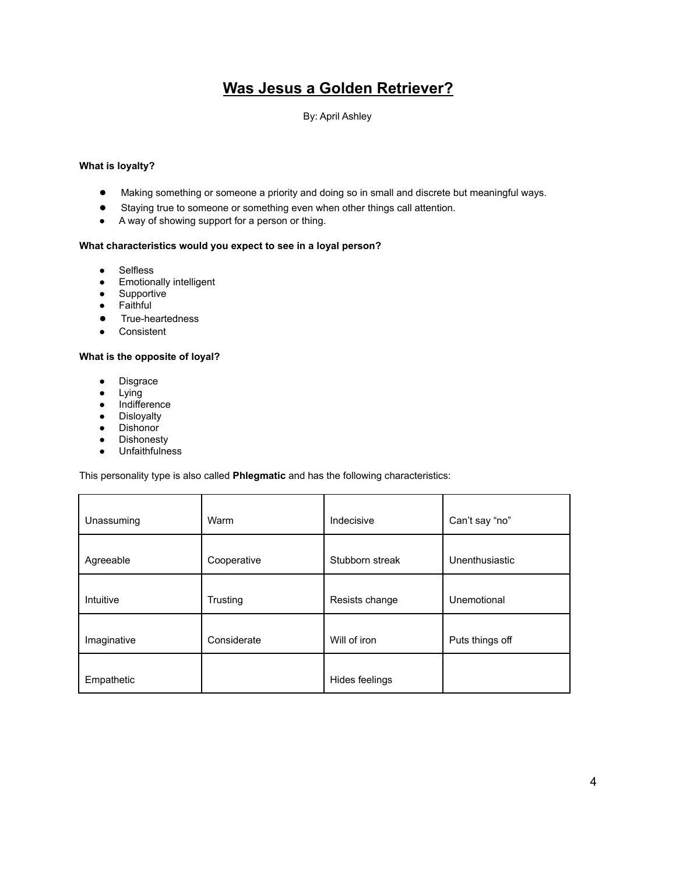# **Was Jesus a Golden Retriever?**

## By: April Ashley

#### **What is loyalty?**

- Making something or someone a priority and doing so in small and discrete but meaningful ways.
- Staying true to someone or something even when other things call attention.
- A way of showing support for a person or thing.

#### **What characteristics would you expect to see in a loyal person?**

- Selfless
- Emotionally intelligent
- Supportive
- Faithful
- True-heartedness
- Consistent

### **What is the opposite of loyal?**

- Disgrace
- Lying
- Indifference
- Disloyalty
- Dishonor
- Dishonesty
- Unfaithfulness

This personality type is also called **Phlegmatic** and has the following characteristics:

| Unassuming  | Warm        | Indecisive      | Can't say "no"  |
|-------------|-------------|-----------------|-----------------|
| Agreeable   | Cooperative | Stubborn streak | Unenthusiastic  |
| Intuitive   | Trusting    | Resists change  | Unemotional     |
| Imaginative | Considerate | Will of iron    | Puts things off |
| Empathetic  |             | Hides feelings  |                 |